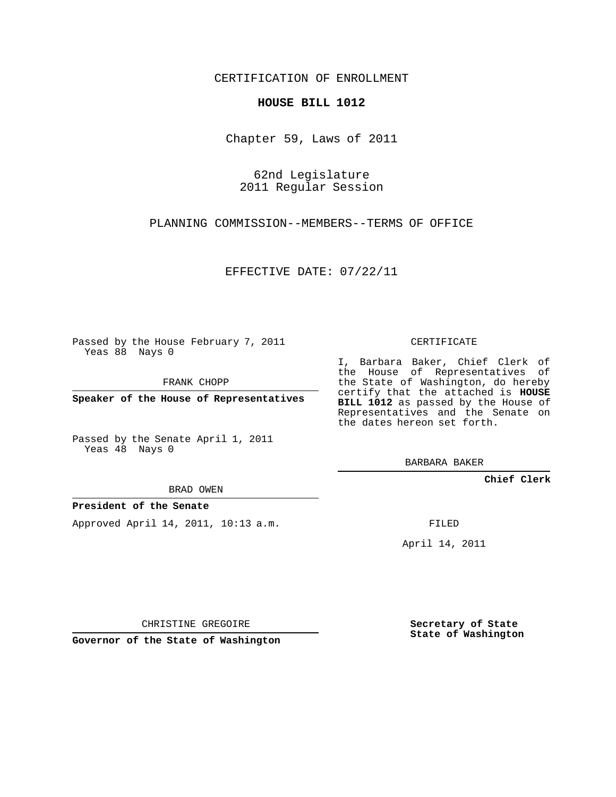CERTIFICATION OF ENROLLMENT

## **HOUSE BILL 1012**

Chapter 59, Laws of 2011

62nd Legislature 2011 Regular Session

PLANNING COMMISSION--MEMBERS--TERMS OF OFFICE

EFFECTIVE DATE: 07/22/11

Passed by the House February 7, 2011 Yeas 88 Nays 0

FRANK CHOPP

**Speaker of the House of Representatives**

Passed by the Senate April 1, 2011 Yeas 48 Nays 0

BRAD OWEN

## **President of the Senate**

Approved April 14, 2011, 10:13 a.m.

CERTIFICATE

I, Barbara Baker, Chief Clerk of the House of Representatives of the State of Washington, do hereby certify that the attached is **HOUSE BILL 1012** as passed by the House of Representatives and the Senate on the dates hereon set forth.

BARBARA BAKER

**Chief Clerk**

FILED

April 14, 2011

CHRISTINE GREGOIRE

**Governor of the State of Washington**

**Secretary of State State of Washington**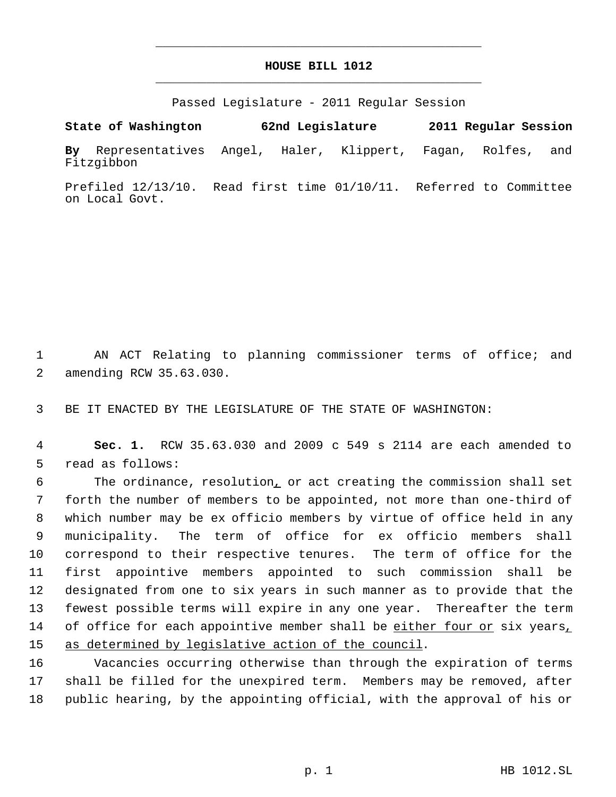## **HOUSE BILL 1012** \_\_\_\_\_\_\_\_\_\_\_\_\_\_\_\_\_\_\_\_\_\_\_\_\_\_\_\_\_\_\_\_\_\_\_\_\_\_\_\_\_\_\_\_\_

\_\_\_\_\_\_\_\_\_\_\_\_\_\_\_\_\_\_\_\_\_\_\_\_\_\_\_\_\_\_\_\_\_\_\_\_\_\_\_\_\_\_\_\_\_

Passed Legislature - 2011 Regular Session

**State of Washington 62nd Legislature 2011 Regular Session By** Representatives Angel, Haler, Klippert, Fagan, Rolfes, and Fitzgibbon

Prefiled 12/13/10. Read first time 01/10/11. Referred to Committee on Local Govt.

 1 AN ACT Relating to planning commissioner terms of office; and 2 amending RCW 35.63.030.

3 BE IT ENACTED BY THE LEGISLATURE OF THE STATE OF WASHINGTON:

 4 **Sec. 1.** RCW 35.63.030 and 2009 c 549 s 2114 are each amended to 5 read as follows:

 The ordinance, resolution, or act creating the commission shall set forth the number of members to be appointed, not more than one-third of which number may be ex officio members by virtue of office held in any municipality. The term of office for ex officio members shall correspond to their respective tenures. The term of office for the first appointive members appointed to such commission shall be designated from one to six years in such manner as to provide that the fewest possible terms will expire in any one year. Thereafter the term 14 of office for each appointive member shall be either four or six years, 15 as determined by legislative action of the council.

16 Vacancies occurring otherwise than through the expiration of terms 17 shall be filled for the unexpired term. Members may be removed, after 18 public hearing, by the appointing official, with the approval of his or